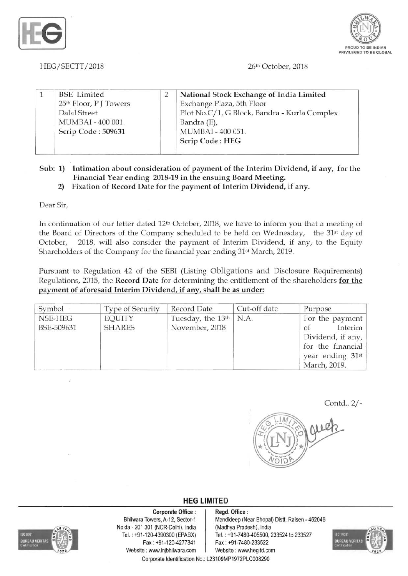



*HEG/SECTT/2018*  26th October, 2018

| <b>BSE</b> Limited<br>25 <sup>th</sup> Floor, PJ Towers<br>Dalal Street<br>MUMBAI - 400 001.<br>Scrip Code: 509631 | National Stock Exchange of India Limited<br>Exchange Plaza, 5th Floor<br>Plot No.C/1, G Block, Bandra - Kurla Complex<br>Bandra (E),<br>MUMBAI - 400 051.<br>Scrip Code: HEG |
|--------------------------------------------------------------------------------------------------------------------|------------------------------------------------------------------------------------------------------------------------------------------------------------------------------|
|                                                                                                                    |                                                                                                                                                                              |

## Sub: 1) Intimation about consideration of payment of the Interim Dividend, if any, for the Financial Year ending 2018-19 in the ensuing Board Meeting.

2) Fixation of Record Date for the payment of Interim Dividend, if any.

Dear Sir,

In continuation of our letter dated 12<sup>th</sup> October, 2018, we have to inform you that a meeting of the Board of Directors of the Company scheduled to be held on Wednesday, the 31st day of October, 2018, will also consider the payment of Interim Dividend, if any, to the Equity Shareholders of the Company for the financial year ending 31st March, 2019.

Pursuant to Regulation 42 of the SEBI (Listing Obligations and Disclosure Requirements) Regulations, 2015, the Record Date for determining the entitlement of the shareholders for the payment of aforesaid Interim Dividend, if any, shall be as under:

| Symbol                | <b>Type of Security</b>        | Record Date                                     | Cut-off date | Purpose                                                                                                        |
|-----------------------|--------------------------------|-------------------------------------------------|--------------|----------------------------------------------------------------------------------------------------------------|
| NSE-HEG<br>BSE-509631 | <b>EQUITY</b><br><b>SHARES</b> | Tuesday, the 13 <sup>th</sup><br>November, 2018 | N.A.         | For the payment<br>Interim<br>Οf<br>Dividend, if any,<br>for the financial<br>year ending 31st<br>March, 2019. |

*Contd.. 2/*



**HEG LIMITE D** 



Bhilwara Towers, A-12, Sector-1 Corporate Office : Noida 201 301 (NCR-Delhi), India (Madhya Pradesh), India Fax : +91-120-4277841 Fax : +91 -7480-233522 Website : www.lnjbhilwara.com | Website : www.hegltd.com

Regd. Office: Mandideep (Near Bhopal) Distt. Raisen 462046 Tel. : +91 -120-4390300 (EPABX) Tel. : +91 -7480-405500, 233524 to 233527



Corporate Identification No.: L23109MP1972PLC008290